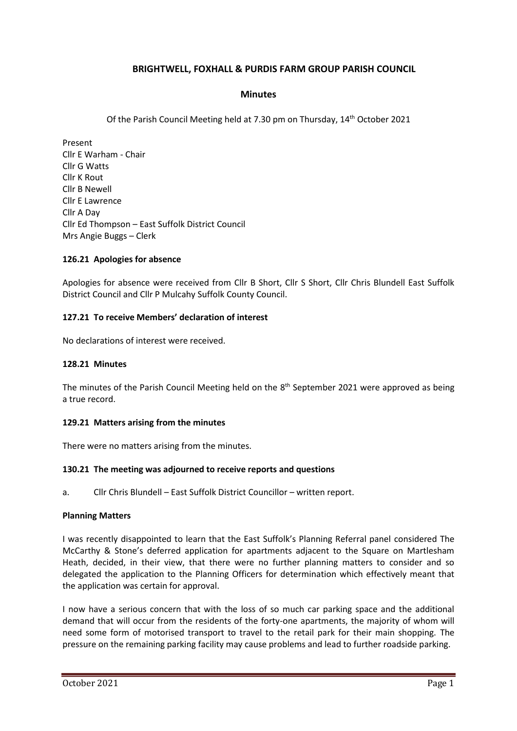# **BRIGHTWELL, FOXHALL & PURDIS FARM GROUP PARISH COUNCIL**

## **Minutes**

Of the Parish Council Meeting held at 7.30 pm on Thursday, 14th October 2021

Present Cllr E Warham - Chair Cllr G Watts Cllr K Rout Cllr B Newell Cllr E Lawrence Cllr A Day Cllr Ed Thompson – East Suffolk District Council Mrs Angie Buggs – Clerk

## **126.21 Apologies for absence**

Apologies for absence were received from Cllr B Short, Cllr S Short, Cllr Chris Blundell East Suffolk District Council and Cllr P Mulcahy Suffolk County Council.

## **127.21 To receive Members' declaration of interest**

No declarations of interest were received.

### **128.21 Minutes**

The minutes of the Parish Council Meeting held on the 8<sup>th</sup> September 2021 were approved as being a true record.

### **129.21 Matters arising from the minutes**

There were no matters arising from the minutes.

### **130.21 The meeting was adjourned to receive reports and questions**

a. Cllr Chris Blundell – East Suffolk District Councillor – written report.

### **Planning Matters**

I was recently disappointed to learn that the East Suffolk's Planning Referral panel considered The McCarthy & Stone's deferred application for apartments adjacent to the Square on Martlesham Heath, decided, in their view, that there were no further planning matters to consider and so delegated the application to the Planning Officers for determination which effectively meant that the application was certain for approval.

I now have a serious concern that with the loss of so much car parking space and the additional demand that will occur from the residents of the forty-one apartments, the majority of whom will need some form of motorised transport to travel to the retail park for their main shopping. The pressure on the remaining parking facility may cause problems and lead to further roadside parking.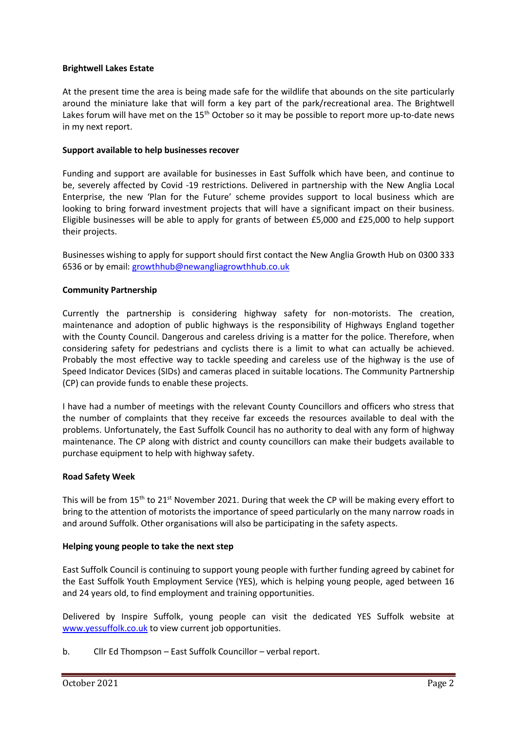## **Brightwell Lakes Estate**

At the present time the area is being made safe for the wildlife that abounds on the site particularly around the miniature lake that will form a key part of the park/recreational area. The Brightwell Lakes forum will have met on the 15<sup>th</sup> October so it may be possible to report more up-to-date news in my next report.

## **Support available to help businesses recover**

Funding and support are available for businesses in East Suffolk which have been, and continue to be, severely affected by Covid -19 restrictions. Delivered in partnership with the New Anglia Local Enterprise, the new 'Plan for the Future' scheme provides support to local business which are looking to bring forward investment projects that will have a significant impact on their business. Eligible businesses will be able to apply for grants of between £5,000 and £25,000 to help support their projects.

Businesses wishing to apply for support should first contact the New Anglia Growth Hub on 0300 333 6536 or by email: [growthhub@newangliagrowthhub.co.uk](mailto:growthhub@newangliagrowthhub.co.uk)

## **Community Partnership**

Currently the partnership is considering highway safety for non-motorists. The creation, maintenance and adoption of public highways is the responsibility of Highways England together with the County Council. Dangerous and careless driving is a matter for the police. Therefore, when considering safety for pedestrians and cyclists there is a limit to what can actually be achieved. Probably the most effective way to tackle speeding and careless use of the highway is the use of Speed Indicator Devices (SIDs) and cameras placed in suitable locations. The Community Partnership (CP) can provide funds to enable these projects.

I have had a number of meetings with the relevant County Councillors and officers who stress that the number of complaints that they receive far exceeds the resources available to deal with the problems. Unfortunately, the East Suffolk Council has no authority to deal with any form of highway maintenance. The CP along with district and county councillors can make their budgets available to purchase equipment to help with highway safety.

### **Road Safety Week**

This will be from  $15<sup>th</sup>$  to  $21<sup>st</sup>$  November 2021. During that week the CP will be making every effort to bring to the attention of motorists the importance of speed particularly on the many narrow roads in and around Suffolk. Other organisations will also be participating in the safety aspects.

### **Helping young people to take the next step**

East Suffolk Council is continuing to support young people with further funding agreed by cabinet for the East Suffolk Youth Employment Service (YES), which is helping young people, aged between 16 and 24 years old, to find employment and training opportunities.

Delivered by Inspire Suffolk, young people can visit the dedicated YES Suffolk website at [www.yessuffolk.co.uk](http://www.yessuffolk.co.uk/) to view current job opportunities.

b. Cllr Ed Thompson – East Suffolk Councillor – verbal report.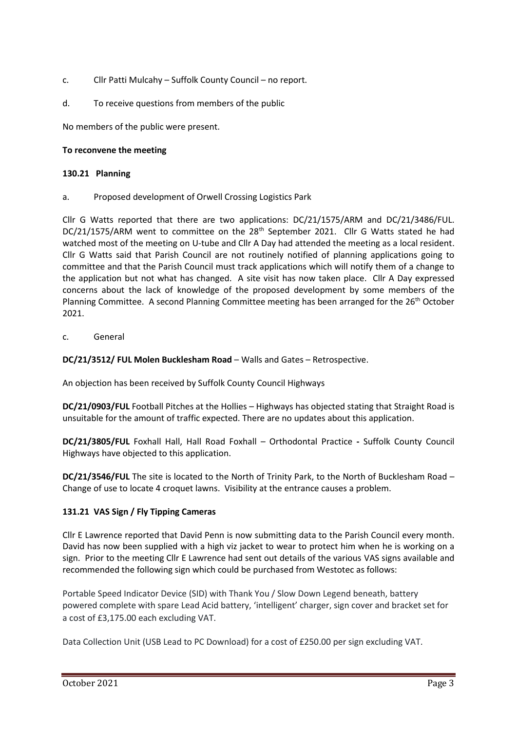- c. Cllr Patti Mulcahy Suffolk County Council no report.
- d. To receive questions from members of the public

No members of the public were present.

## **To reconvene the meeting**

## **130.21 Planning**

a. Proposed development of Orwell Crossing Logistics Park

Cllr G Watts reported that there are two applications: DC/21/1575/ARM and DC/21/3486/FUL. DC/21/1575/ARM went to committee on the 28<sup>th</sup> September 2021. Cllr G Watts stated he had watched most of the meeting on U-tube and Cllr A Day had attended the meeting as a local resident. Cllr G Watts said that Parish Council are not routinely notified of planning applications going to committee and that the Parish Council must track applications which will notify them of a change to the application but not what has changed. A site visit has now taken place. Cllr A Day expressed concerns about the lack of knowledge of the proposed development by some members of the Planning Committee. A second Planning Committee meeting has been arranged for the 26<sup>th</sup> October 2021.

c. General

## **DC/21/3512/ FUL Molen Bucklesham Road** – Walls and Gates – Retrospective.

An objection has been received by Suffolk County Council Highways

**DC/21/0903/FUL** Football Pitches at the Hollies – Highways has objected stating that Straight Road is unsuitable for the amount of traffic expected. There are no updates about this application.

**DC/21/3805/FUL** Foxhall Hall, Hall Road Foxhall – Orthodontal Practice **-** Suffolk County Council Highways have objected to this application.

**DC/21/3546/FUL** The site is located to the North of Trinity Park, to the North of Bucklesham Road – Change of use to locate 4 croquet lawns. Visibility at the entrance causes a problem.

## **131.21 VAS Sign / Fly Tipping Cameras**

Cllr E Lawrence reported that David Penn is now submitting data to the Parish Council every month. David has now been supplied with a high viz jacket to wear to protect him when he is working on a sign. Prior to the meeting Cllr E Lawrence had sent out details of the various VAS signs available and recommended the following sign which could be purchased from Westotec as follows:

Portable Speed Indicator Device (SID) with Thank You / Slow Down Legend beneath, battery powered complete with spare Lead Acid battery, 'intelligent' charger, sign cover and bracket set for a cost of £3,175.00 each excluding VAT.

Data Collection Unit (USB Lead to PC Download) for a cost of £250.00 per sign excluding VAT.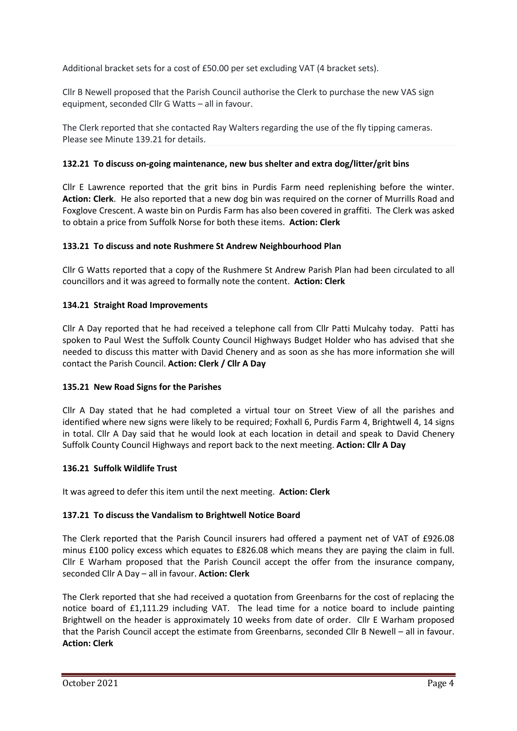Additional bracket sets for a cost of £50.00 per set excluding VAT (4 bracket sets).

Cllr B Newell proposed that the Parish Council authorise the Clerk to purchase the new VAS sign equipment, seconded Cllr G Watts – all in favour.

The Clerk reported that she contacted Ray Walters regarding the use of the fly tipping cameras. Please see Minute 139.21 for details.

## **132.21 To discuss on-going maintenance, new bus shelter and extra dog/litter/grit bins**

Cllr E Lawrence reported that the grit bins in Purdis Farm need replenishing before the winter. **Action: Clerk**. He also reported that a new dog bin was required on the corner of Murrills Road and Foxglove Crescent. A waste bin on Purdis Farm has also been covered in graffiti. The Clerk was asked to obtain a price from Suffolk Norse for both these items. **Action: Clerk**

# **133.21 To discuss and note Rushmere St Andrew Neighbourhood Plan**

Cllr G Watts reported that a copy of the Rushmere St Andrew Parish Plan had been circulated to all councillors and it was agreed to formally note the content. **Action: Clerk**

# **134.21 Straight Road Improvements**

Cllr A Day reported that he had received a telephone call from Cllr Patti Mulcahy today. Patti has spoken to Paul West the Suffolk County Council Highways Budget Holder who has advised that she needed to discuss this matter with David Chenery and as soon as she has more information she will contact the Parish Council. **Action: Clerk / Cllr A Day**

## **135.21 New Road Signs for the Parishes**

Cllr A Day stated that he had completed a virtual tour on Street View of all the parishes and identified where new signs were likely to be required; Foxhall 6, Purdis Farm 4, Brightwell 4, 14 signs in total. Cllr A Day said that he would look at each location in detail and speak to David Chenery Suffolk County Council Highways and report back to the next meeting. **Action: Cllr A Day**

## **136.21 Suffolk Wildlife Trust**

It was agreed to defer this item until the next meeting. **Action: Clerk**

## **137.21 To discuss the Vandalism to Brightwell Notice Board**

The Clerk reported that the Parish Council insurers had offered a payment net of VAT of £926.08 minus £100 policy excess which equates to £826.08 which means they are paying the claim in full. Cllr E Warham proposed that the Parish Council accept the offer from the insurance company, seconded Cllr A Day – all in favour. **Action: Clerk**

The Clerk reported that she had received a quotation from Greenbarns for the cost of replacing the notice board of £1,111.29 including VAT. The lead time for a notice board to include painting Brightwell on the header is approximately 10 weeks from date of order. Cllr E Warham proposed that the Parish Council accept the estimate from Greenbarns, seconded Cllr B Newell – all in favour. **Action: Clerk**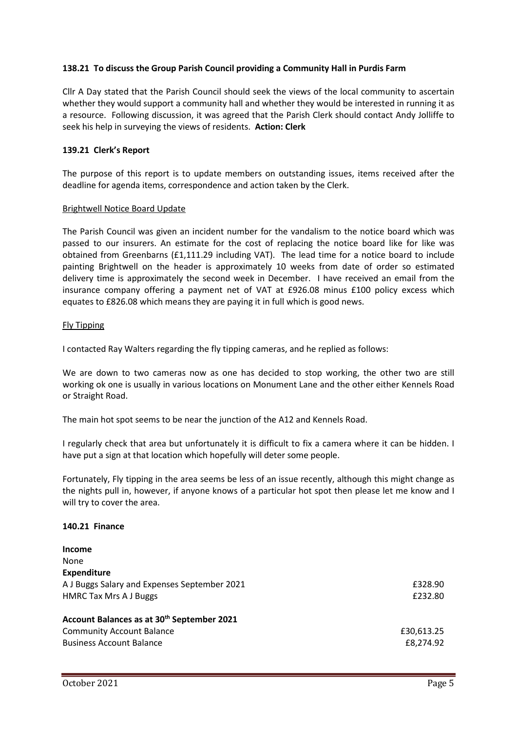## **138.21 To discuss the Group Parish Council providing a Community Hall in Purdis Farm**

Cllr A Day stated that the Parish Council should seek the views of the local community to ascertain whether they would support a community hall and whether they would be interested in running it as a resource. Following discussion, it was agreed that the Parish Clerk should contact Andy Jolliffe to seek his help in surveying the views of residents. **Action: Clerk**

### **139.21 Clerk's Report**

The purpose of this report is to update members on outstanding issues, items received after the deadline for agenda items, correspondence and action taken by the Clerk.

### Brightwell Notice Board Update

The Parish Council was given an incident number for the vandalism to the notice board which was passed to our insurers. An estimate for the cost of replacing the notice board like for like was obtained from Greenbarns (£1,111.29 including VAT). The lead time for a notice board to include painting Brightwell on the header is approximately 10 weeks from date of order so estimated delivery time is approximately the second week in December. I have received an email from the insurance company offering a payment net of VAT at £926.08 minus £100 policy excess which equates to £826.08 which means they are paying it in full which is good news.

## Fly Tipping

I contacted Ray Walters regarding the fly tipping cameras, and he replied as follows:

We are down to two cameras now as one has decided to stop working, the other two are still working ok one is usually in various locations on Monument Lane and the other either Kennels Road or Straight Road.

The main hot spot seems to be near the junction of the A12 and Kennels Road.

I regularly check that area but unfortunately it is difficult to fix a camera where it can be hidden. I have put a sign at that location which hopefully will deter some people.

Fortunately, Fly tipping in the area seems be less of an issue recently, although this might change as the nights pull in, however, if anyone knows of a particular hot spot then please let me know and I will try to cover the area.

### **140.21 Finance**

| <b>Income</b>                                          |            |
|--------------------------------------------------------|------------|
| None                                                   |            |
| <b>Expenditure</b>                                     |            |
| A J Buggs Salary and Expenses September 2021           | £328.90    |
| <b>HMRC Tax Mrs A J Buggs</b>                          | £232.80    |
| Account Balances as at 30 <sup>th</sup> September 2021 |            |
| <b>Community Account Balance</b>                       | £30,613.25 |
| <b>Business Account Balance</b>                        | £8,274.92  |